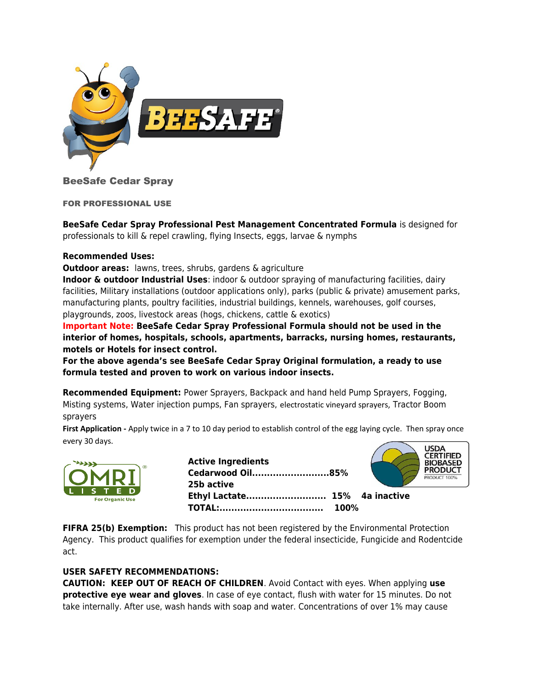

# BeeSafe Cedar Spray

FOR PROFESSIONAL USE

**BeeSafe Cedar Spray Professional Pest Management Concentrated Formula** is designed for professionals to kill & repel crawling, flying Insects, eggs, larvae & nymphs

## **Recommended Uses:**

**Outdoor areas:** lawns, trees, shrubs, gardens & agriculture

**Indoor & outdoor Industrial Uses**: indoor & outdoor spraying of manufacturing facilities, dairy facilities, Military installations (outdoor applications only), parks (public & private) amusement parks, manufacturing plants, poultry facilities, industrial buildings, kennels, warehouses, golf courses, playgrounds, zoos, livestock areas (hogs, chickens, cattle & exotics)

**Important Note: BeeSafe Cedar Spray Professional Formula should not be used in the interior of homes, hospitals, schools, apartments, barracks, nursing homes, restaurants, motels or Hotels for insect control.**

**For the above agenda's see BeeSafe Cedar Spray Original formulation, a ready to use formula tested and proven to work on various indoor insects.**

**Recommended Equipment:** Power Sprayers, Backpack and hand held Pump Sprayers, Fogging, Misting systems, Water injection pumps, Fan sprayers, electrostatic vineyard sprayers, Tractor Boom sprayers

First Application - Apply twice in a 7 to 10 day period to establish control of the egg laying cycle. Then spray once every 30 days.



**Active Ingredients Cedarwood Oil..........................85% 25b active Ethyl Lactate........................... 15% 4a inactive TOTAL:................................... 100%** 



**FIFRA 25(b) Exemption:** This product has not been registered by the Environmental Protection Agency. This product qualifies for exemption under the federal insecticide, Fungicide and Rodentcide act.

## **USER SAFETY RECOMMENDATIONS:**

**CAUTION: KEEP OUT OF REACH OF CHILDREN**. Avoid Contact with eyes. When applying **use protective eye wear and gloves**. In case of eye contact, flush with water for 15 minutes. Do not take internally. After use, wash hands with soap and water. Concentrations of over 1% may cause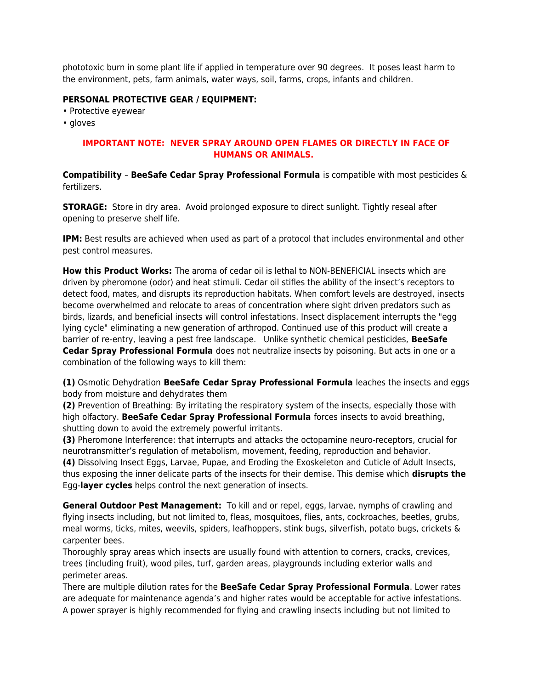phototoxic burn in some plant life if applied in temperature over 90 degrees. It poses least harm to the environment, pets, farm animals, water ways, soil, farms, crops, infants and children.

## **PERSONAL PROTECTIVE GEAR / EQUIPMENT:**

- Protective eyewear
- gloves

# **IMPORTANT NOTE: NEVER SPRAY AROUND OPEN FLAMES OR DIRECTLY IN FACE OF HUMANS OR ANIMALS.**

**Compatibility** – **BeeSafe Cedar Spray Professional Formula** is compatible with most pesticides & fertilizers.

**STORAGE:** Store in dry area. Avoid prolonged exposure to direct sunlight. Tightly reseal after opening to preserve shelf life.

**IPM:** Best results are achieved when used as part of a protocol that includes environmental and other pest control measures.

**How this Product Works:** The aroma of cedar oil is lethal to NON-BENEFICIAL insects which are driven by pheromone (odor) and heat stimuli. Cedar oil stifles the ability of the insect's receptors to detect food, mates, and disrupts its reproduction habitats. When comfort levels are destroyed, insects become overwhelmed and relocate to areas of concentration where sight driven predators such as birds, lizards, and beneficial insects will control infestations. Insect displacement interrupts the "egg lying cycle" eliminating a new generation of arthropod. Continued use of this product will create a barrier of re-entry, leaving a pest free landscape. Unlike synthetic chemical pesticides, **BeeSafe Cedar Spray Professional Formula** does not neutralize insects by poisoning. But acts in one or a combination of the following ways to kill them:

**(1)** Osmotic Dehydration **BeeSafe Cedar Spray Professional Formula** leaches the insects and eggs body from moisture and dehydrates them

**(2)** Prevention of Breathing: By irritating the respiratory system of the insects, especially those with high olfactory. **BeeSafe Cedar Spray Professional Formula** forces insects to avoid breathing, shutting down to avoid the extremely powerful irritants.

**(3)** Pheromone Interference: that interrupts and attacks the octopamine neuro-receptors, crucial for neurotransmitter's regulation of metabolism, movement, feeding, reproduction and behavior.

**(4)** Dissolving Insect Eggs, Larvae, Pupae, and Eroding the Exoskeleton and Cuticle of Adult Insects, thus exposing the inner delicate parts of the insects for their demise. This demise which **disrupts the**  Egg-**layer cycles** helps control the next generation of insects.

**General Outdoor Pest Management:** To kill and or repel, eggs, larvae, nymphs of crawling and flying insects including, but not limited to, fleas, mosquitoes, flies, ants, cockroaches, beetles, grubs, meal worms, ticks, mites, weevils, spiders, leafhoppers, stink bugs, silverfish, potato bugs, crickets & carpenter bees.

Thoroughly spray areas which insects are usually found with attention to corners, cracks, crevices, trees (including fruit), wood piles, turf, garden areas, playgrounds including exterior walls and perimeter areas.

There are multiple dilution rates for the **BeeSafe Cedar Spray Professional Formula**. Lower rates are adequate for maintenance agenda's and higher rates would be acceptable for active infestations. A power sprayer is highly recommended for flying and crawling insects including but not limited to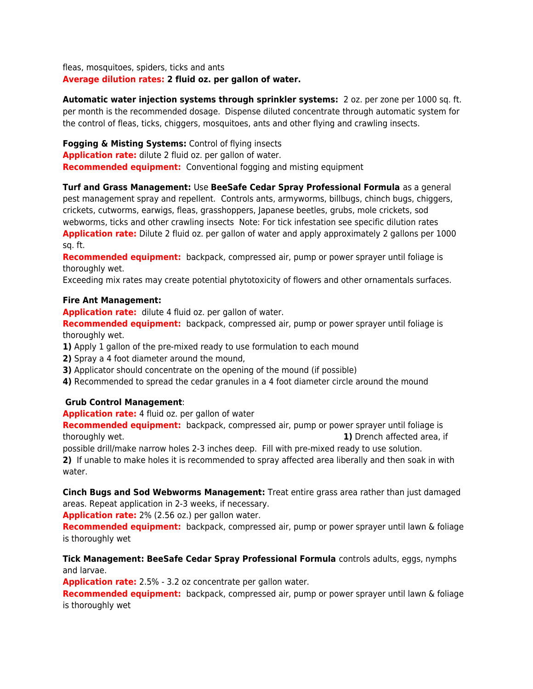fleas, mosquitoes, spiders, ticks and ants **Average dilution rates: 2 fluid oz. per gallon of water.** 

**Automatic water injection systems through sprinkler systems:** 2 oz. per zone per 1000 sq. ft. per month is the recommended dosage. Dispense diluted concentrate through automatic system for the control of fleas, ticks, chiggers, mosquitoes, ants and other flying and crawling insects.

**Fogging & Misting Systems:** Control of flying insects **Application rate:** dilute 2 fluid oz. per gallon of water. **Recommended equipment:** Conventional fogging and misting equipment

**Turf and Grass Management:** Use **BeeSafe Cedar Spray Professional Formula** as a general pest management spray and repellent. Controls ants, armyworms, billbugs, chinch bugs, chiggers, crickets, cutworms, earwigs, fleas, grasshoppers, Japanese beetles, grubs, mole crickets, sod webworms, ticks and other crawling insects Note: For tick infestation see specific dilution rates **Application rate:** Dilute 2 fluid oz. per gallon of water and apply approximately 2 gallons per 1000 sq. ft.

**Recommended equipment:** backpack, compressed air, pump or power sprayer until foliage is thoroughly wet.

Exceeding mix rates may create potential phytotoxicity of flowers and other ornamentals surfaces.

## **Fire Ant Management:**

**Application rate:** dilute 4 fluid oz. per gallon of water.

**Recommended equipment:** backpack, compressed air, pump or power sprayer until foliage is thoroughly wet.

- **1)** Apply 1 gallon of the pre-mixed ready to use formulation to each mound
- **2)** Spray a 4 foot diameter around the mound,
- **3)** Applicator should concentrate on the opening of the mound (if possible)
- **4)** Recommended to spread the cedar granules in a 4 foot diameter circle around the mound

# **Grub Control Management**:

**Application rate:** 4 fluid oz. per gallon of water

**Recommended equipment:** backpack, compressed air, pump or power sprayer until foliage is thoroughly wet. **1)** Drench affected area, if

possible drill/make narrow holes 2-3 inches deep. Fill with pre-mixed ready to use solution. **2)** If unable to make holes it is recommended to spray affected area liberally and then soak in with water.

**Cinch Bugs and Sod Webworms Management:** Treat entire grass area rather than just damaged areas. Repeat application in 2-3 weeks, if necessary.

**Application rate:** 2% (2.56 oz.) per gallon water.

**Recommended equipment:** backpack, compressed air, pump or power sprayer until lawn & foliage is thoroughly wet

# **Tick Management: BeeSafe Cedar Spray Professional Formula** controls adults, eggs, nymphs and larvae.

**Application rate:** 2.5% - 3.2 oz concentrate per gallon water.

**Recommended equipment:** backpack, compressed air, pump or power sprayer until lawn & foliage is thoroughly wet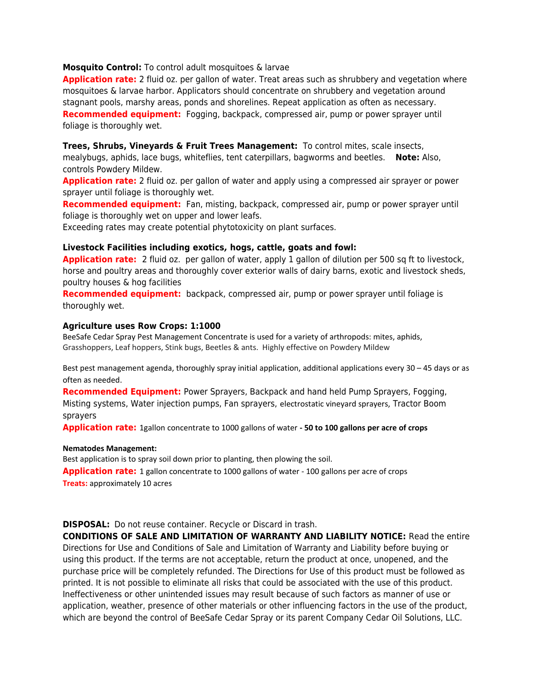### **Mosquito Control:** To control adult mosquitoes & larvae

**Application rate:** 2 fluid oz. per gallon of water. Treat areas such as shrubbery and vegetation where mosquitoes & larvae harbor. Applicators should concentrate on shrubbery and vegetation around stagnant pools, marshy areas, ponds and shorelines. Repeat application as often as necessary. **Recommended equipment:** Fogging, backpack, compressed air, pump or power sprayer until foliage is thoroughly wet.

### **Trees, Shrubs, Vineyards & Fruit Trees Management:** To control mites, scale insects,

mealybugs, aphids, lace bugs, whiteflies, tent caterpillars, bagworms and beetles. **Note:** Also, controls Powdery Mildew.

**Application rate:** 2 fluid oz. per gallon of water and apply using a compressed air sprayer or power sprayer until foliage is thoroughly wet.

**Recommended equipment:** Fan, misting, backpack, compressed air, pump or power sprayer until foliage is thoroughly wet on upper and lower leafs.

Exceeding rates may create potential phytotoxicity on plant surfaces.

### **Livestock Facilities including exotics, hogs, cattle, goats and fowl:**

**Application rate:** 2 fluid oz. per gallon of water, apply 1 gallon of dilution per 500 sq ft to livestock, horse and poultry areas and thoroughly cover exterior walls of dairy barns, exotic and livestock sheds, poultry houses & hog facilities

**Recommended equipment:** backpack, compressed air, pump or power sprayer until foliage is thoroughly wet.

#### **Agriculture uses Row Crops: 1:1000**

BeeSafe Cedar Spray Pest Management Concentrate is used for a variety of arthropods: mites, aphids, Grasshoppers, Leaf hoppers, Stink bugs, Beetles & ants. Highly effective on Powdery Mildew

Best pest management agenda, thoroughly spray initial application, additional applications every 30 – 45 days or as often as needed.

**Recommended Equipment:** Power Sprayers, Backpack and hand held Pump Sprayers, Fogging, Misting systems, Water injection pumps, Fan sprayers, electrostatic vineyard sprayers, Tractor Boom sprayers

**Application rate:** 1gallon concentrate to 1000 gallons of water **- 50 to 100 gallons per acre of crops**

#### **Nematodes Management:**

Best application is to spray soil down prior to planting, then plowing the soil. **Application rate:** 1 gallon concentrate to 1000 gallons of water - 100 gallons per acre of crops **Treats:** approximately 10 acres

**DISPOSAL:** Do not reuse container. Recycle or Discard in trash.

**CONDITIONS OF SALE AND LIMITATION OF WARRANTY AND LIABILITY NOTICE:** Read the entire Directions for Use and Conditions of Sale and Limitation of Warranty and Liability before buying or using this product. If the terms are not acceptable, return the product at once, unopened, and the purchase price will be completely refunded. The Directions for Use of this product must be followed as printed. It is not possible to eliminate all risks that could be associated with the use of this product. Ineffectiveness or other unintended issues may result because of such factors as manner of use or application, weather, presence of other materials or other influencing factors in the use of the product, which are beyond the control of BeeSafe Cedar Spray or its parent Company Cedar Oil Solutions, LLC.